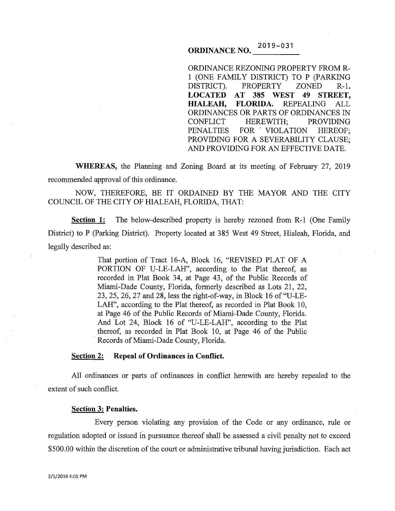# **ORDINANCE NO.**  $2019 - 031$

ORDINANCE REZONING PROPERTY FROM R-1 (ONE FAMILY DISTRICT) TO P (PARKING DISTRICT). PROPERTY ZONED R-1. **LOCATED AT 385 WEST 49 STREET, HIALEAH, FLORIDA.** REPEALING ALL ORDINANCES OR PARTS OF ORDINANCES IN CONFLICT HEREWITH; PROVIDING PENALTIES FOR VIOLATION HEREOF; PROVIDING FOR A SEVERABILITY CLAUSE; AND PROVIDING FOR AN EFFECTIVE DATE.

**WHEREAS,** the Planning and Zoning Board at its meeting of February 27, 2019 recommended approval of this ordinance.

NOW, THEREFORE, BE IT ORDAINED BY THE MAYOR AND THE CITY COUNCIL OF THE CITY OF HIALEAH, FLORIDA, THAT:

**Section 1:** The below-described property is hereby rezoned from R-1 (One Family District) to P (Parking District). Property located at 385 West 49 Street, Hialeah, Florida, and legally described as:

> That portion of Tract 16-A, Block 16, "REVISED PLAT OF A PORTION OF U-LE-LAH", according to the Plat thereof, as recorded in Plat Book 34, at Page 43, of the Public Records of Miami-Dade County, Florida, formerly described as Lots 21, 22, 23, 25, 26, 27 and 28, less the right-of-way, in Block 16 of"U-LE-LAH", according to the Plat thereof, as recorded in Plat Book 10, at Page 46 of the Public Records of Miami-Dade County, Florida. And Lot 24, Block 16 of "U-LE-LAH", according to the Plat thereof, as recorded in Plat Book 10, at Page 46 of the Public Records of Miami-Dade County, Florida.

#### **Section 2: Repeal of Ordinances in Conflict.**

All ordinances or parts of ordinances in conflict herewith are hereby repealed to the extent of such conflict.

#### **Section 3: Penalties.**

Every person violating any provision of the Code or any ordinance, rule or regulation adopted or issued in pursuance thereof shall be assessed a civil penalty not to exceed \$500.00 within the discretion of the court or administrative tribunal having jurisdiction. Each act